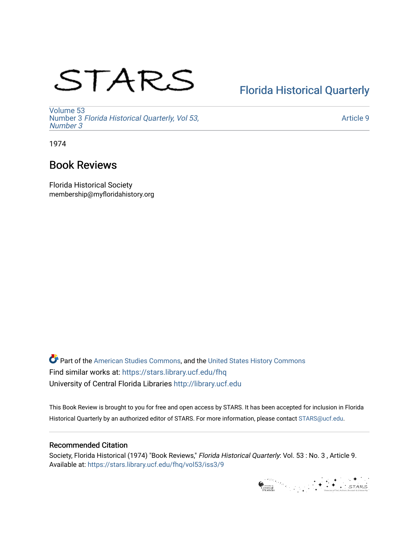# STARS

# [Florida Historical Quarterly](https://stars.library.ucf.edu/fhq)

[Volume 53](https://stars.library.ucf.edu/fhq/vol53) Number 3 [Florida Historical Quarterly, Vol 53,](https://stars.library.ucf.edu/fhq/vol53/iss3)  [Number 3](https://stars.library.ucf.edu/fhq/vol53/iss3)

[Article 9](https://stars.library.ucf.edu/fhq/vol53/iss3/9) 

1974

# Book Reviews

Florida Historical Society membership@myfloridahistory.org

**C** Part of the [American Studies Commons](http://network.bepress.com/hgg/discipline/439?utm_source=stars.library.ucf.edu%2Ffhq%2Fvol53%2Fiss3%2F9&utm_medium=PDF&utm_campaign=PDFCoverPages), and the United States History Commons Find similar works at: <https://stars.library.ucf.edu/fhq> University of Central Florida Libraries [http://library.ucf.edu](http://library.ucf.edu/) 

This Book Review is brought to you for free and open access by STARS. It has been accepted for inclusion in Florida Historical Quarterly by an authorized editor of STARS. For more information, please contact [STARS@ucf.edu.](mailto:STARS@ucf.edu)

# Recommended Citation

Society, Florida Historical (1974) "Book Reviews," Florida Historical Quarterly: Vol. 53 : No. 3 , Article 9. Available at: [https://stars.library.ucf.edu/fhq/vol53/iss3/9](https://stars.library.ucf.edu/fhq/vol53/iss3/9?utm_source=stars.library.ucf.edu%2Ffhq%2Fvol53%2Fiss3%2F9&utm_medium=PDF&utm_campaign=PDFCoverPages) 

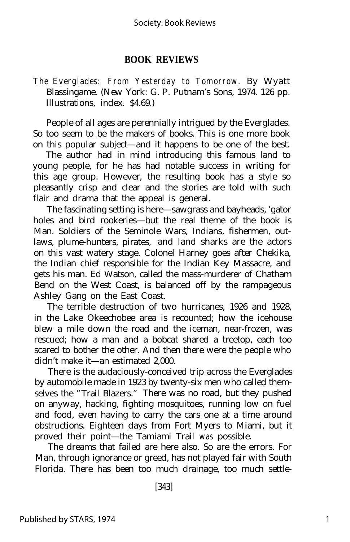*The Everglades: From Yesterday to Tomorrow.* By Wyatt Blassingame. (New York: G. P. Putnam's Sons, 1974. 126 pp. Illustrations, index. \$4.69.)

People of all ages are perennially intrigued by the Everglades. So too seem to be the makers of books. This is one more book on this popular subject— and it happens to be one of the best.

The author had in mind introducing this famous land to young people, for he has had notable success in writing for this age group. However, the resulting book has a style so pleasantly crisp and clear and the stories are told with such flair and drama that the appeal is general.

The fascinating setting is here— sawgrass and bayheads, 'gator holes and bird rookeries- but the real theme of the book is Man. Soldiers of the Seminole Wars, Indians, fishermen, outlaws, plume-hunters, pirates, and land sharks are the actors on this vast watery stage. Colonel Harney goes after Chekika, the Indian chief responsible for the Indian Key Massacre, and gets his man. Ed Watson, called the mass-murderer of Chatham Bend on the West Coast, is balanced off by the rampageous Ashley Gang on the East Coast.

The terrible destruction of two hurricanes, 1926 and 1928, in the Lake Okeechobee area is recounted; how the icehouse blew a mile down the road and the iceman, near-frozen, was rescued; how a man and a bobcat shared a treetop, each too scared to bother the other. And then there were the people who didn't make it— an estimated 2,000.

There is the audaciously-conceived trip across the Everglades by automobile made in 1923 by twenty-six men who called themselves the "Trail Blazers." There was no road, but they pushed on anyway, hacking, fighting mosquitoes, running low on fuel and food, even having to carry the cars one at a time around obstructions. Eighteen days from Fort Myers to Miami, but it proved their point— the Tamiami Trail *was* possible.

The dreams that failed are here also. So are the errors. For Man, through ignorance or greed, has not played fair with South Florida. There has been too much drainage, too much settle-

[343]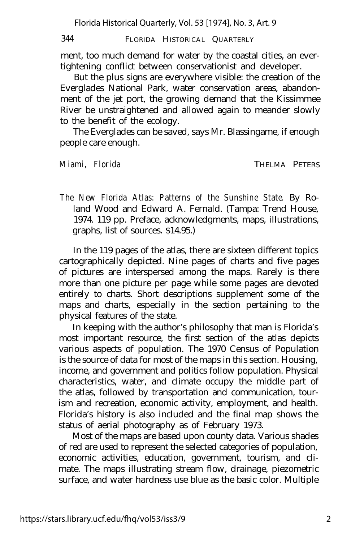ment, too much demand for water by the coastal cities, an evertightening conflict between conservationist and developer.

But the plus signs are everywhere visible: the creation of the Everglades National Park, water conservation areas, abandonment of the jet port, the growing demand that the Kissimmee River be unstraightened and allowed again to meander slowly to the benefit of the ecology.

The Everglades can be saved, says Mr. Blassingame, if enough people care enough.

*Miami, Florida* THELMA PETERS

*The New Florida Atlas: Patterns of the Sunshine State.* By Roland Wood and Edward A. Fernald. (Tampa: Trend House, 1974. 119 pp. Preface, acknowledgments, maps, illustrations, graphs, list of sources. \$14.95.)

In the 119 pages of the atlas, there are sixteen different topics cartographically depicted. Nine pages of charts and five pages of pictures are interspersed among the maps. Rarely is there more than one picture per page while some pages are devoted entirely to charts. Short descriptions supplement some of the maps and charts, especially in the section pertaining to the physical features of the state.

In keeping with the author's philosophy that man is Florida's most important resource, the first section of the atlas depicts various aspects of population. The 1970 Census of Population is the source of data for most of the maps in this section. Housing, income, and government and politics follow population. Physical characteristics, water, and climate occupy the middle part of the atlas, followed by transportation and communication, tourism and recreation, economic activity, employment, and health. Florida's history is also included and the final map shows the status of aerial photography as of February 1973.

Most of the maps are based upon county data. Various shades of red are used to represent the selected categories of population, economic activities, education, government, tourism, and climate. The maps illustrating stream flow, drainage, piezometric surface, and water hardness use blue as the basic color. Multiple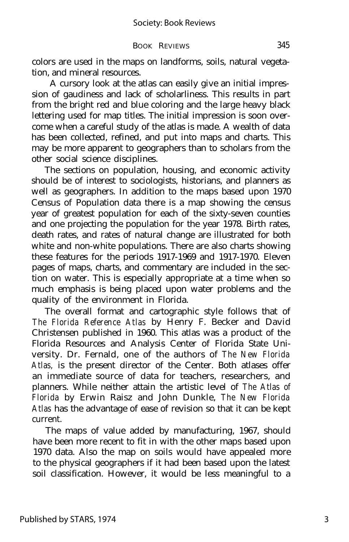colors are used in the maps on landforms, soils, natural vegetation, and mineral resources.

A cursory look at the atlas can easily give an initial impression of gaudiness and lack of scholarliness. This results in part from the bright red and blue coloring and the large heavy black lettering used for map titles. The initial impression is soon overcome when a careful study of the atlas is made. A wealth of data has been collected, refined, and put into maps and charts. This may be more apparent to geographers than to scholars from the other social science disciplines.

The sections on population, housing, and economic activity should be of interest to sociologists, historians, and planners as well as geographers. In addition to the maps based upon 1970 Census of Population data there is a map showing the census year of greatest population for each of the sixty-seven counties and one projecting the population for the year 1978. Birth rates, death rates, and rates of natural change are illustrated for both white and non-white populations. There are also charts showing these features for the periods 1917-1969 and 1917-1970. Eleven pages of maps, charts, and commentary are included in the section on water. This is especially appropriate at a time when so much emphasis is being placed upon water problems and the quality of the environment in Florida.

The overall format and cartographic style follows that of *The Florida Reference Atlas* by Henry F. Becker and David Christensen published in 1960. This atlas was a product of the Florida Resources and Analysis Center of Florida State University. Dr. Fernald, one of the authors of *The New Florida Atlas,* is the present director of the Center. Both atlases offer an immediate source of data for teachers, researchers, and planners. While neither attain the artistic level of *The Atlas of Florida* by Erwin Raisz and John Dunkle, *The New Florida Atlas* has the advantage of ease of revision so that it can be kept current.

The maps of value added by manufacturing, 1967, should have been more recent to fit in with the other maps based upon 1970 data. Also the map on soils would have appealed more to the physical geographers if it had been based upon the latest soil classification. However, it would be less meaningful to a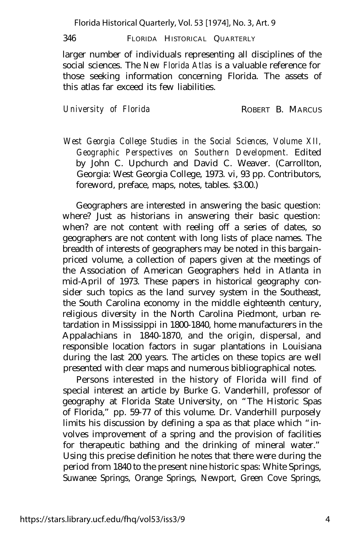Florida Historical Quarterly, Vol. 53 [1974], No. 3, Art. 9

346 FLORIDA HISTORICAL QUARTERLY

larger number of individuals representing all disciplines of the social sciences. The *New Florida Atlas* is a valuable reference for those seeking information concerning Florida. The assets of this atlas far exceed its few liabilities.

# *University of Florida* ROBERT B. MARCUS

*West Georgia College Studies in the Social Sciences, Volume XII, Geographic Perspectives on Southern Development.* Edited by John C. Upchurch and David C. Weaver. (Carrollton, Georgia: West Georgia College, 1973. vi, 93 pp. Contributors, foreword, preface, maps, notes, tables. \$3.00.)

Geographers are interested in answering the basic question: where? Just as historians in answering their basic question: when? are not content with reeling off a series of dates, so geographers are not content with long lists of place names. The breadth of interests of geographers may be noted in this bargainpriced volume, a collection of papers given at the meetings of the Association of American Geographers held in Atlanta in mid-April of 1973. These papers in historical geography consider such topics as the land survey system in the Southeast, the South Carolina economy in the middle eighteenth century, religious diversity in the North Carolina Piedmont, urban retardation in Mississippi in 1800-1840, home manufacturers in the Appalachians in 1840-1870, and the origin, dispersal, and responsible location factors in sugar plantations in Louisiana during the last 200 years. The articles on these topics are well presented with clear maps and numerous bibliographical notes.

Persons interested in the history of Florida will find of special interest an article by Burke G. Vanderhill, professor of geography at Florida State University, on "The Historic Spas of Florida," pp. 59-77 of this volume. Dr. Vanderhill purposely limits his discussion by defining a spa as that place which "involves improvement of a spring and the provision of facilities for therapeutic bathing and the drinking of mineral water." Using this precise definition he notes that there were during the period from 1840 to the present nine historic spas: White Springs, Suwanee Springs, Orange Springs, Newport, Green Cove Springs,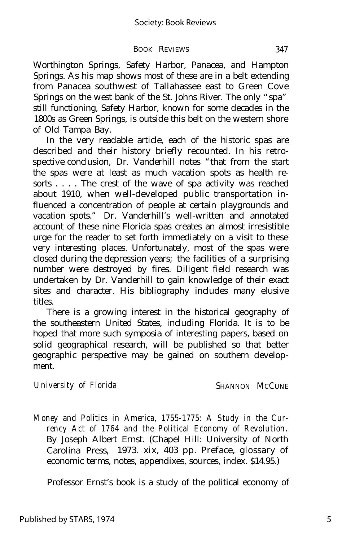Worthington Springs, Safety Harbor, Panacea, and Hampton Springs. As his map shows most of these are in a belt extending from Panacea southwest of Tallahassee east to Green Cove Springs on the west bank of the St. Johns River. The only "spa" still functioning, Safety Harbor, known for some decades in the 1800s as Green Springs, is outside this belt on the western shore of Old Tampa Bay.

In the very readable article, each of the historic spas are described and their history briefly recounted. In his retrospective conclusion, Dr. Vanderhill notes "that from the start the spas were at least as much vacation spots as health resorts . . . . The crest of the wave of spa activity was reached about 1910, when well-developed public transportation influenced a concentration of people at certain playgrounds and vacation spots." Dr. Vanderhill's well-written and annotated account of these nine Florida spas creates an almost irresistible urge for the reader to set forth immediately on a visit to these very interesting places. Unfortunately, most of the spas were closed during the depression years; the facilities of a surprising number were destroyed by fires. Diligent field research was undertaken by Dr. Vanderhill to gain knowledge of their exact sites and character. His bibliography includes many elusive titles.

There is a growing interest in the historical geography of the southeastern United States, including Florida. It is to be hoped that more such symposia of interesting papers, based on solid geographical research, will be published so that better geographic perspective may be gained on southern development.

*University of Florida* SHANNON MCCUNE

*Money and Politics in America, 1755-1775: A Study in the Currency Act of 1764 and the Political Economy of Revolution.* By Joseph Albert Ernst. (Chapel Hill: University of North Carolina Press, 1973. xix, 403 pp. Preface, glossary of economic terms, notes, appendixes, sources, index. \$14.95.)

Professor Ernst's book is a study of the political economy of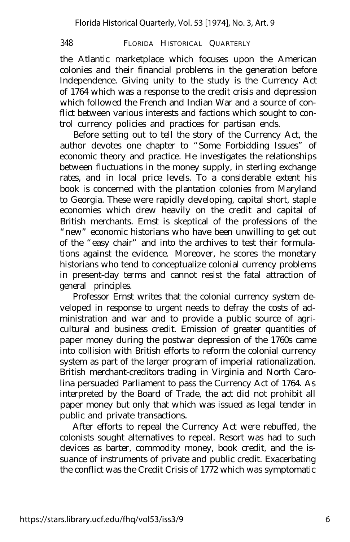the Atlantic marketplace which focuses upon the American colonies and their financial problems in the generation before Independence. Giving unity to the study is the Currency Act of 1764 which was a response to the credit crisis and depression which followed the French and Indian War and a source of conflict between various interests and factions which sought to control currency policies and practices for partisan ends.

Before setting out to tell the story of the Currency Act, the author devotes one chapter to "Some Forbidding Issues" of economic theory and practice. He investigates the relationships between fluctuations in the money supply, in sterling exchange rates, and in local price levels. To a considerable extent his book is concerned with the plantation colonies from Maryland to Georgia. These were rapidly developing, capital short, staple economies which drew heavily on the credit and capital of British merchants. Ernst is skeptical of the professions of the "new" economic historians who have been unwilling to get out of the "easy chair" and into the archives to test their formulations against the evidence. Moreover, he scores the monetary historians who tend to conceptualize colonial currency problems in present-day terms and cannot resist the fatal attraction of general principles.

Professor Ernst writes that the colonial currency system developed in response to urgent needs to defray the costs of administration and war and to provide a public source of agricultural and business credit. Emission of greater quantities of paper money during the postwar depression of the 1760s came into collision with British efforts to reform the colonial currency system as part of the larger program of imperial rationalization. British merchant-creditors trading in Virginia and North Carolina persuaded Parliament to pass the Currency Act of 1764. As interpreted by the Board of Trade, the act did not prohibit all paper money but only that which was issued as legal tender in public and private transactions.

After efforts to repeal the Currency Act were rebuffed, the colonists sought alternatives to repeal. Resort was had to such devices as barter, commodity money, book credit, and the issuance of instruments of private and public credit. Exacerbating the conflict was the Credit Crisis of 1772 which was symptomatic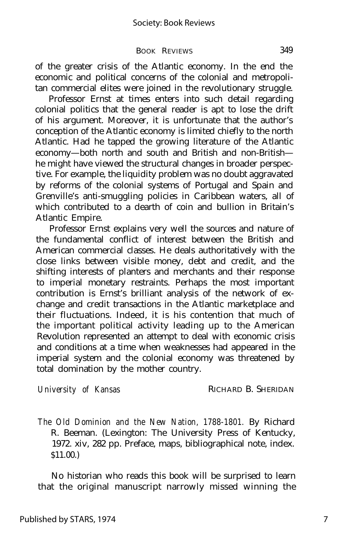of the greater crisis of the Atlantic economy. In the end the economic and political concerns of the colonial and metropolitan commercial elites were joined in the revolutionary struggle.

Professor Ernst at times enters into such detail regarding colonial politics that the general reader is apt to lose the drift of his argument. Moreover, it is unfortunate that the author's conception of the Atlantic economy is limited chiefly to the north Atlantic. Had he tapped the growing literature of the Atlantic economy— both north and south and British and non-British he might have viewed the structural changes in broader perspective. For example, the liquidity problem was no doubt aggravated by reforms of the colonial systems of Portugal and Spain and Grenville's anti-smuggling policies in Caribbean waters, all of which contributed to a dearth of coin and bullion in Britain's Atlantic Empire.

Professor Ernst explains very well the sources and nature of the fundamental conflict of interest between the British and American commercial classes. He deals authoritatively with the close links between visible money, debt and credit, and the shifting interests of planters and merchants and their response to imperial monetary restraints. Perhaps the most important contribution is Ernst's brilliant analysis of the network of exchange and credit transactions in the Atlantic marketplace and their fluctuations. Indeed, it is his contention that much of the important political activity leading up to the American Revolution represented an attempt to deal with economic crisis and conditions at a time when weaknesses had appeared in the imperial system and the colonial economy was threatened by total domination by the mother country.

*University of Kansas* RICHARD B. SHERIDAN

*The Old Dominion and the New Nation, 1788-1801.* By Richard R. Beeman. (Lexington: The University Press of Kentucky, 1972. xiv, 282 pp. Preface, maps, bibliographical note, index. \$11.00.)

No historian who reads this book will be surprised to learn that the original manuscript narrowly missed winning the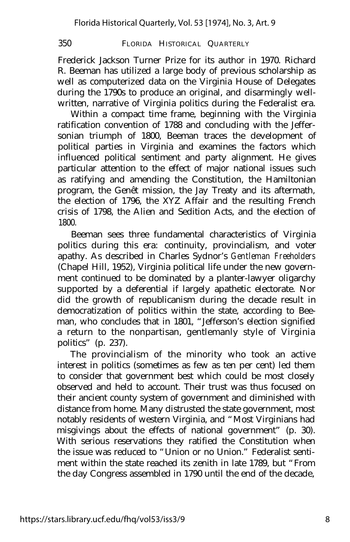Frederick Jackson Turner Prize for its author in 1970. Richard R. Beeman has utilized a large body of previous scholarship as well as computerized data on the Virginia House of Delegates during the 1790s to produce an original, and disarmingly wellwritten, narrative of Virginia politics during the Federalist era.

Within a compact time frame, beginning with the Virginia ratification convention of 1788 and concluding with the Jeffersonian triumph of 1800, Beeman traces the development of political parties in Virginia and examines the factors which influenced political sentiment and party alignment. He gives particular attention to the effect of major national issues such as ratifying and amending the Constitution, the Hamiltonian program, the Genêt mission, the Jay Treaty and its aftermath, the election of 1796, the XYZ Affair and the resulting French crisis of 1798, the Alien and Sedition Acts, and the election of 1800.

Beeman sees three fundamental characteristics of Virginia politics during this era: continuity, provincialism, and voter apathy. As described in Charles Sydnor's *Gentleman Freeholders* (Chapel Hill, 1952), Virginia political life under the new government continued to be dominated by a planter-lawyer oligarchy supported by a deferential if largely apathetic electorate. Nor did the growth of republicanism during the decade result in democratization of politics within the state, according to Beeman, who concludes that in 1801, "Jefferson's election signified a return to the nonpartisan, gentlemanly style of Virginia politics" (p. 237).

The provincialism of the minority who took an active interest in politics (sometimes as few as ten per cent) led them to consider that government best which could be most closely observed and held to account. Their trust was thus focused on their ancient county system of government and diminished with distance from home. Many distrusted the state government, most notably residents of western Virginia, and "Most Virginians had misgivings about the effects of national government" (p. 30). With serious reservations they ratified the Constitution when the issue was reduced to "Union or no Union." Federalist sentiment within the state reached its zenith in late 1789, but "From the day Congress assembled in 1790 until the end of the decade,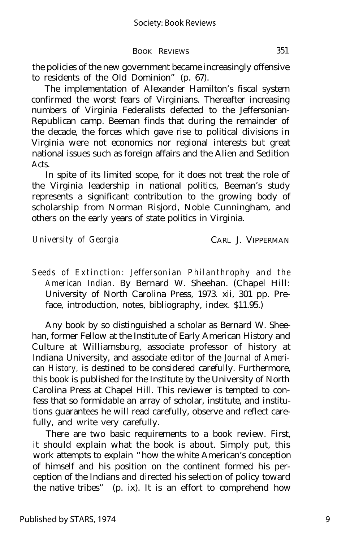the policies of the new government became increasingly offensive to residents of the Old Dominion" (p. 67).

The implementation of Alexander Hamilton's fiscal system confirmed the worst fears of Virginians. Thereafter increasing numbers of Virginia Federalists defected to the Jeffersonian-Republican camp. Beeman finds that during the remainder of the decade, the forces which gave rise to political divisions in Virginia were not economics nor regional interests but great national issues such as foreign affairs and the Alien and Sedition Acts.

In spite of its limited scope, for it does not treat the role of the Virginia leadership in national politics, Beeman's study represents a significant contribution to the growing body of scholarship from Norman Risjord, Noble Cunningham, and others on the early years of state politics in Virginia.

*University of Georgia* CARL J. VIPPERMAN

*Seeds of Extinction: Jeffersonian Philanthrophy and the American Indian.* By Bernard W. Sheehan. (Chapel Hill: University of North Carolina Press, 1973. xii, 301 pp. Preface, introduction, notes, bibliography, index. \$11.95.)

Any book by so distinguished a scholar as Bernard W. Sheehan, former Fellow at the Institute of Early American History and Culture at Williamsburg, associate professor of history at Indiana University, and associate editor of the *Journal of American History,* is destined to be considered carefully. Furthermore, this book is published for the Institute by the University of North Carolina Press at Chapel Hill. This reviewer is tempted to confess that so formidable an array of scholar, institute, and institutions guarantees he will read carefully, observe and reflect carefully, and write very carefully.

There are two basic requirements to a book review. First, it should explain what the book is about. Simply put, this work attempts to explain "how the white American's conception of himself and his position on the continent formed his perception of the Indians and directed his selection of policy toward the native tribes" (p. ix). It is an effort to comprehend how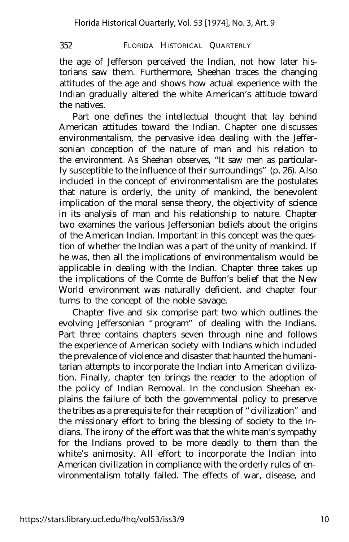the age of Jefferson perceived the Indian, not how later historians saw them. Furthermore, Sheehan traces the changing attitudes of the age and shows how actual experience with the Indian gradually altered the white American's attitude toward the natives.

Part one defines the intellectual thought that lay behind American attitudes toward the Indian. Chapter one discusses environmentalism, the pervasive idea dealing with the Jeffersonian conception of the nature of man and his relation to the environment. As Sheehan observes, "It saw men as particularly susceptible to the influence of their surroundings" (p. 26). Also included in the concept of environmentalism are the postulates that nature is orderly, the unity of mankind, the benevolent implication of the moral sense theory, the objectivity of science in its analysis of man and his relationship to nature. Chapter two examines the various Jeffersonian beliefs about the origins of the American Indian. Important in this concept was the question of whether the Indian was a part of the unity of mankind. If he was, then all the implications of environmentalism would be applicable in dealing with the Indian. Chapter three takes up the implications of the Comte de Buffon's belief that the New World environment was naturally deficient, and chapter four turns to the concept of the noble savage.

Chapter five and six comprise part two which outlines the evolving Jeffersonian "program" of dealing with the Indians. Part three contains chapters seven through nine and follows the experience of American society with Indians which included the prevalence of violence and disaster that haunted the humanitarian attempts to incorporate the Indian into American civilization. Finally, chapter ten brings the reader to the adoption of the policy of Indian Removal. In the conclusion Sheehan explains the failure of both the governmental policy to preserve the tribes as a prerequisite for their reception of "civilization" and the missionary effort to bring the blessing of society to the Indians. The irony of the effort was that the white man's sympathy for the Indians proved to be more deadly to them than the white's animosity. All effort to incorporate the Indian into American civilization in compliance with the orderly rules of environmentalism totally failed. The effects of war, disease, and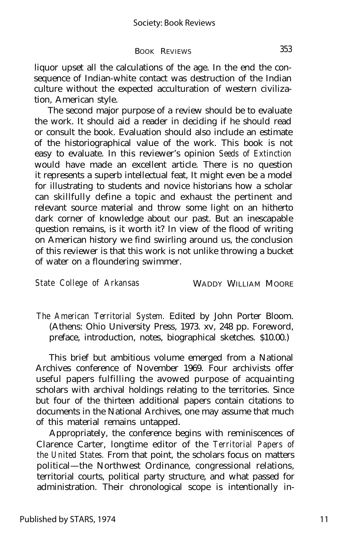liquor upset all the calculations of the age. In the end the consequence of Indian-white contact was destruction of the Indian culture without the expected acculturation of western civilization, American style.

The second major purpose of a review should be to evaluate the work. It should aid a reader in deciding if he should read or consult the book. Evaluation should also include an estimate of the historiographical value of the work. This book is not easy to evaluate. In this reviewer's opinion *Seeds of Extinction* would have made an excellent article. There is no question it represents a superb intellectual feat, It might even be a model for illustrating to students and novice historians how a scholar can skillfully define a topic and exhaust the pertinent and relevant source material and throw some light on an hitherto dark corner of knowledge about our past. But an inescapable question remains, is it worth it? In view of the flood of writing on American history we find swirling around us, the conclusion of this reviewer is that this work is not unlike throwing a bucket of water on a floundering swimmer.

*State College of Arkansas* WADDY WILLIAM MOORE

*The American Territorial System.* Edited by John Porter Bloom. (Athens: Ohio University Press, 1973. xv, 248 pp. Foreword, preface, introduction, notes, biographical sketches. \$10.00.)

This brief but ambitious volume emerged from a National Archives conference of November 1969. Four archivists offer useful papers fulfilling the avowed purpose of acquainting scholars with archival holdings relating to the territories. Since but four of the thirteen additional papers contain citations to documents in the National Archives, one may assume that much of this material remains untapped.

Appropriately, the conference begins with reminiscences of Clarence Carter, longtime editor of the *Territorial Papers of the United States.* From that point, the scholars focus on matters political— the Northwest Ordinance, congressional relations, territorial courts, political party structure, and what passed for administration. Their chronological scope is intentionally in-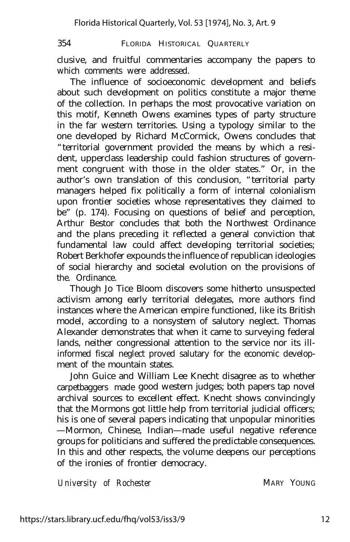clusive, and fruitful commentaries accompany the papers to which comments were addressed.

The influence of socioeconomic development and beliefs about such development on politics constitute a major theme of the collection. In perhaps the most provocative variation on this motif, Kenneth Owens examines types of party structure in the far western territories. Using a typology similar to the one developed by Richard McCormick, Owens concludes that "territorial government provided the means by which a resident, upperclass leadership could fashion structures of government congruent with those in the older states." Or, in the author's own translation of this conclusion, "territorial party managers helped fix politically a form of internal colonialism upon frontier societies whose representatives they claimed to be" (p. 174). Focusing on questions of belief and perception, Arthur Bestor concludes that both the Northwest Ordinance and the plans preceding it reflected a general conviction that fundamental law could affect developing territorial societies; Robert Berkhofer expounds the influence of republican ideologies of social hierarchy and societal evolution on the provisions of the. Ordinance.

Though Jo Tice Bloom discovers some hitherto unsuspected activism among early territorial delegates, more authors find instances where the American empire functioned, like its British model, according to a nonsystem of salutory neglect. Thomas Alexander demonstrates that when it came to surveying federal lands, neither congressional attention to the service nor its illinformed fiscal neglect proved salutary for the economic development of the mountain states.

John Guice and William Lee Knecht disagree as to whether carpetbaggers made good western judges; both papers tap novel archival sources to excellent effect. Knecht shows convincingly that the Mormons got little help from territorial judicial officers; his is one of several papers indicating that unpopular minorities — Mormon, Chinese, Indian— made useful negative reference groups for politicians and suffered the predictable consequences. In this and other respects, the volume deepens our perceptions of the ironies of frontier democracy.

*University of Rochester* MARY YOUNG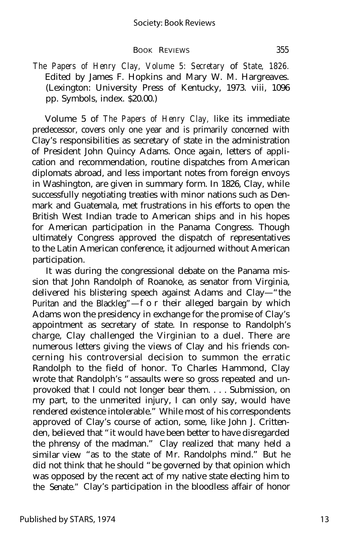#### Society: Book Reviews

#### BOOK REVIEWS 355

*The Papers of Henry Clay, Volume 5: Secretary* of *State, 1826.* Edited by James F. Hopkins and Mary W. M. Hargreaves. (Lexington: University Press of Kentucky, 1973. viii, 1096 pp. Symbols, index. \$20.00.)

Volume 5 of *The Papers of Henry Clay,* like its immediate predecessor, covers only one year and is primarily concerned with Clay's responsibilities as secretary of state in the administration of President John Quincy Adams. Once again, letters of application and recommendation, routine dispatches from American diplomats abroad, and less important notes from foreign envoys in Washington, are given in summary form. In 1826, Clay, while successfully negotiating treaties with minor nations such as Denmark and Guatemala, met frustrations in his efforts to open the British West Indian trade to American ships and in his hopes for American participation in the Panama Congress. Though ultimately Congress approved the dispatch of representatives to the Latin American conference, it adjourned without American participation.

It was during the congressional debate on the Panama mission that John Randolph of Roanoke, as senator from Virginia, delivered his blistering speech against Adams and Clay— "the Puritan and the Blackleg"— f o r their alleged bargain by which Adams won the presidency in exchange for the promise of Clay's appointment as secretary of state. In response to Randolph's charge, Clay challenged the Virginian to a duel. There are numerous letters giving the views of Clay and his friends concerning his controversial decision to summon the erratic Randolph to the field of honor. To Charles Hammond, Clay wrote that Randolph's "assaults were so gross repeated and unprovoked that I could not longer bear them. . . . Submission, on my part, to the unmerited injury, I can only say, would have rendered existence intolerable." While most of his correspondents approved of Clay's course of action, some, like John J. Crittenden, believed that "it would have been better to have disregarded the phrensy of the madman." Clay realized that many held a similar view "as to the state of Mr. Randolphs mind." But he did not think that he should "be governed by that opinion which was opposed by the recent act of my native state electing him to the Senate." Clay's participation in the bloodless affair of honor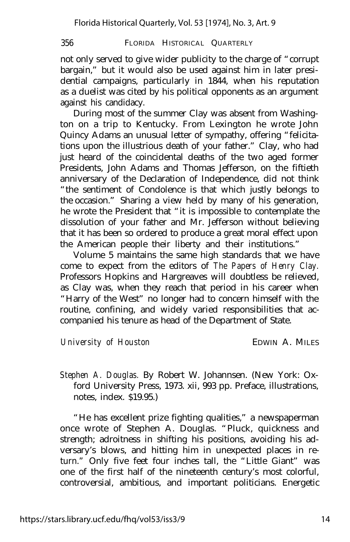not only served to give wider publicity to the charge of "corrupt bargain," but it would also be used against him in later presidential campaigns, particularly in 1844, when his reputation as a duelist was cited by his political opponents as an argument against his candidacy.

During most of the summer Clay was absent from Washington on a trip to Kentucky. From Lexington he wrote John Quincy Adams an unusual letter of sympathy, offering "felicitations upon the illustrious death of your father." Clay, who had just heard of the coincidental deaths of the two aged former Presidents, John Adams and Thomas Jefferson, on the fiftieth anniversary of the Declaration of Independence, did not think "the sentiment of Condolence is that which justly belongs to the occasion." Sharing a view held by many of his generation, he wrote the President that "it is impossible to contemplate the dissolution of your father and Mr. Jefferson without believing that it has been so ordered to produce a great moral effect upon the American people their liberty and their institutions."

Volume 5 maintains the same high standards that we have come to expect from the editors of *The Papers of Henry Clay.* Professors Hopkins and Hargreaves will doubtless be relieved, as Clay was, when they reach that period in his career when "Harry of the West" no longer had to concern himself with the routine, confining, and widely varied responsibilities that accompanied his tenure as head of the Department of State.

*University of Houston* EDWIN A. MILES

*Stephen A. Douglas.* By Robert W. Johannsen. (New York: Oxford University Press, 1973. xii, 993 pp. Preface, illustrations, notes, index. \$19.95.)

"He has excellent prize fighting qualities," a newspaperman once wrote of Stephen A. Douglas. "Pluck, quickness and strength; adroitness in shifting his positions, avoiding his adversary's blows, and hitting him in unexpected places in return." Only five feet four inches tall, the "Little Giant" was one of the first half of the nineteenth century's most colorful, controversial, ambitious, and important politicians. Energetic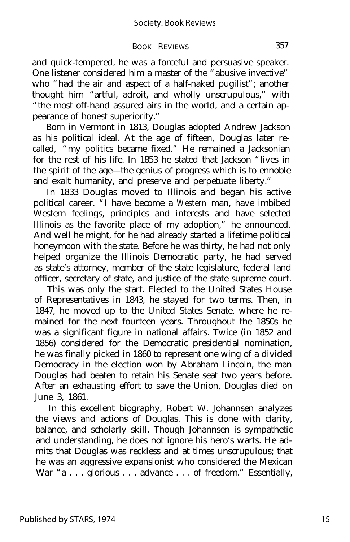#### Society: Book Reviews

#### BOOK REVIEWS 357

and quick-tempered, he was a forceful and persuasive speaker. One listener considered him a master of the "abusive invective" who "had the air and aspect of a half-naked pugilist"; another thought him "artful, adroit, and wholly unscrupulous," with "the most off-hand assured airs in the world, and a certain appearance of honest superiority."

Born in Vermont in 1813, Douglas adopted Andrew Jackson as his political ideal. At the age of fifteen, Douglas later recalled, "my politics became fixed." He remained a Jacksonian for the rest of his life. In 1853 he stated that Jackson "lives in the spirit of the age— the genius of progress which is to ennoble and exalt humanity, and preserve and perpetuate liberty."

In 1833 Douglas moved to Illinois and began his active political career. "I have become a *Western* man, have imbibed Western feelings, principles and interests and have selected Illinois as the favorite place of my adoption," he announced. And well he might, for he had already started a lifetime political honeymoon with the state. Before he was thirty, he had not only helped organize the Illinois Democratic party, he had served as state's attorney, member of the state legislature, federal land officer, secretary of state, and justice of the state supreme court.

This was only the start. Elected to the United States House of Representatives in 1843, he stayed for two terms. Then, in 1847, he moved up to the United States Senate, where he remained for the next fourteen years. Throughout the 1850s he was a significant figure in national affairs. Twice (in 1852 and 1856) considered for the Democratic presidential nomination, he was finally picked in 1860 to represent one wing of a divided Democracy in the election won by Abraham Lincoln, the man Douglas had beaten to retain his Senate seat two years before. After an exhausting effort to save the Union, Douglas died on June 3, 1861.

In this excellent biography, Robert W. Johannsen analyzes the views and actions of Douglas. This is done with clarity, balance, and scholarly skill. Though Johannsen is sympathetic and understanding, he does not ignore his hero's warts. He admits that Douglas was reckless and at times unscrupulous; that he was an aggressive expansionist who considered the Mexican War "a . . . glorious . . . advance . . . of freedom." Essentially,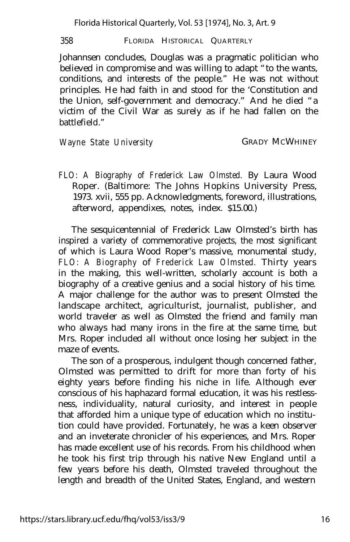Johannsen concludes, Douglas was a pragmatic politician who believed in compromise and was willing to adapt "to the wants, conditions, and interests of the people." He was not without principles. He had faith in and stood for the 'Constitution and the Union, self-government and democracy." And he died "a victim of the Civil War as surely as if he had fallen on the battlefield."

*Wayne State University* GRADY MCWHINEY

*FLO: A Biography of Frederick Law Olmsted.* By Laura Wood Roper. (Baltimore: The Johns Hopkins University Press, 1973. xvii, 555 pp. Acknowledgments, foreword, illustrations, afterword, appendixes, notes, index. \$15.00.)

The sesquicentennial of Frederick Law Olmsted's birth has inspired a variety of commemorative projects, the most significant of which is Laura Wood Roper's massive, monumental study, *FLO: A Biography* of *Frederick Law Olmsted.* Thirty years in the making, this well-written, scholarly account is both a biography of a creative genius and a social history of his time. A major challenge for the author was to present Olmsted the landscape architect, agriculturist, journalist, publisher, and world traveler as well as Olmsted the friend and family man who always had many irons in the fire at the same time, but Mrs. Roper included all without once losing her subject in the maze of events.

The son of a prosperous, indulgent though concerned father, Olmsted was permitted to drift for more than forty of his eighty years before finding his niche in life. Although ever conscious of his haphazard formal education, it was his restlessness, individuality, natural curiosity, and interest in people that afforded him a unique type of education which no institution could have provided. Fortunately, he was a keen observer and an inveterate chronicler of his experiences, and Mrs. Roper has made excellent use of his records. From his childhood when he took his first trip through his native New England until a few years before his death, Olmsted traveled throughout the length and breadth of the United States, England, and western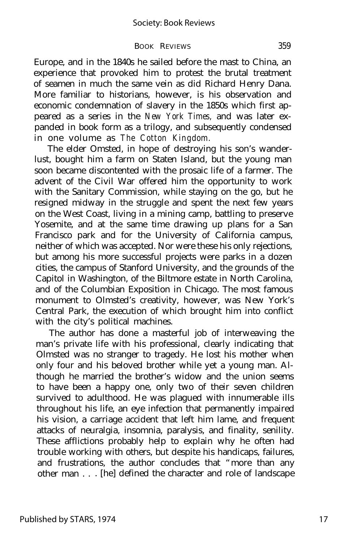#### Society: Book Reviews

#### BOOK REVIEWS 359

Europe, and in the 1840s he sailed before the mast to China, an experience that provoked him to protest the brutal treatment of seamen in much the same vein as did Richard Henry Dana. More familiar to historians, however, is his observation and economic condemnation of slavery in the 1850s which first appeared as a series in the *New York Times,* and was later expanded in book form as a trilogy, and subsequently condensed in one volume as *The Cotton Kingdom.*

The elder Omsted, in hope of destroying his son's wanderlust, bought him a farm on Staten Island, but the young man soon became discontented with the prosaic life of a farmer. The advent of the Civil War offered him the opportunity to work with the Sanitary Commission, while staying on the go, but he resigned midway in the struggle and spent the next few years on the West Coast, living in a mining camp, battling to preserve Yosemite, and at the same time drawing up plans for a San Francisco park and for the University of California campus, neither of which was accepted. Nor were these his only rejections, but among his more successful projects were parks in a dozen cities, the campus of Stanford University, and the grounds of the Capitol in Washington, of the Biltmore estate in North Carolina, and of the Columbian Exposition in Chicago. The most famous monument to Olmsted's creativity, however, was New York's Central Park, the execution of which brought him into conflict with the city's political machines.

The author has done a masterful job of interweaving the man's private life with his professional, clearly indicating that Olmsted was no stranger to tragedy. He lost his mother when only four and his beloved brother while yet a young man. Although he married the brother's widow and the union seems to have been a happy one, only two of their seven children survived to adulthood. He was plagued with innumerable ills throughout his life, an eye infection that permanently impaired his vision, a carriage accident that left him lame, and frequent attacks of neuralgia, insomnia, paralysis, and finality, senility. These afflictions probably help to explain why he often had trouble working with others, but despite his handicaps, failures, and frustrations, the author concludes that "more than any other man . . . [he] defined the character and role of landscape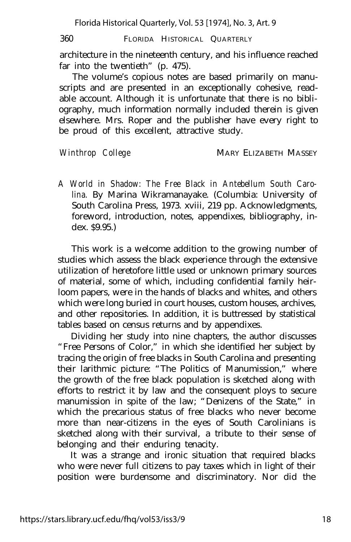architecture in the nineteenth century, and his influence reached far into the twentieth" (p. 475).

The volume's copious notes are based primarily on manuscripts and are presented in an exceptionally cohesive, readable account. Although it is unfortunate that there is no bibliography, much information normally included therein is given elsewhere. Mrs. Roper and the publisher have every right to be proud of this excellent, attractive study.

**Winthrop College** MARY ELIZABETH MASSEY

*A World in Shadow: The Free Black in Antebellum South Carolina.* By Marina Wikramanayake. (Columbia: University of South Carolina Press, 1973. xviii, 219 pp. Acknowledgments, foreword, introduction, notes, appendixes, bibliography, index. \$9.95.)

This work is a welcome addition to the growing number of studies which assess the black experience through the extensive utilization of heretofore little used or unknown primary sources of material, some of which, including confidential family heirloom papers, were in the hands of blacks and whites, and others which were long buried in court houses, custom houses, archives, and other repositories. In addition, it is buttressed by statistical tables based on census returns and by appendixes.

Dividing her study into nine chapters, the author discusses "Free Persons of Color," in which she identified her subject by tracing the origin of free blacks in South Carolina and presenting their larithmic picture: "The Politics of Manumission," where the growth of the free black population is sketched along with efforts to restrict it by law and the consequent ploys to secure manumission in spite of the law; "Denizens of the State," in which the precarious status of free blacks who never become more than near-citizens in the eyes of South Carolinians is sketched along with their survival, a tribute to their sense of belonging and their enduring tenacity.

It was a strange and ironic situation that required blacks who were never full citizens to pay taxes which in light of their position were burdensome and discriminatory. Nor did the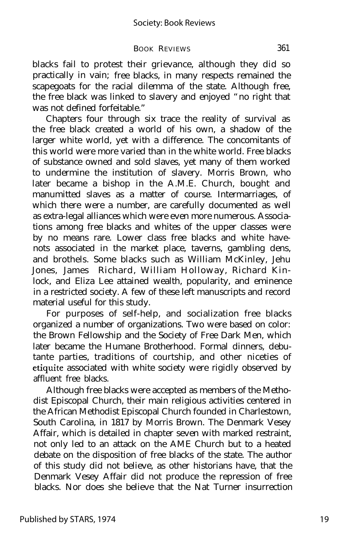blacks fail to protest their grievance, although they did so practically in vain; free blacks, in many respects remained the scapegoats for the racial dilemma of the state. Although free, the free black was linked to slavery and enjoyed "no right that was not defined forfeitable."

Chapters four through six trace the reality of survival as the free black created a world of his own, a shadow of the larger white world, yet with a difference. The concomitants of this world were more varied than in the white world. Free blacks of substance owned and sold slaves, yet many of them worked to undermine the institution of slavery. Morris Brown, who later became a bishop in the A.M.E. Church, bought and manumitted slaves as a matter of course. Intermarriages, of which there were a number, are carefully documented as well as extra-legal alliances which were even more numerous. Associations among free blacks and whites of the upper classes were by no means rare. Lower class free blacks and white havenots associated in the market place, taverns, gambling dens, and brothels. Some blacks such as William McKinley, Jehu Jones, James Richard, William Holloway, Richard Kinlock, and Eliza Lee attained wealth, popularity, and eminence in a restricted society. A few of these left manuscripts and record material useful for this study.

For purposes of self-help, and socialization free blacks organized a number of organizations. Two were based on color: the Brown Fellowship and the Society of Free Dark Men, which later became the Humane Brotherhood. Formal dinners, debutante parties, traditions of courtship, and other niceties of etiquite associated with white society were rigidly observed by affluent free blacks.

Although free blacks were accepted as members of the Methodist Episcopal Church, their main religious activities centered in the African Methodist Episcopal Church founded in Charlestown, South Carolina, in 1817 by Morris Brown. The Denmark Vesey Affair, which is detailed in chapter seven with marked restraint, not only led to an attack on the AME Church but to a heated debate on the disposition of free blacks of the state. The author of this study did not believe, as other historians have, that the Denmark Vesey Affair did not produce the repression of free blacks. Nor does she believe that the Nat Turner insurrection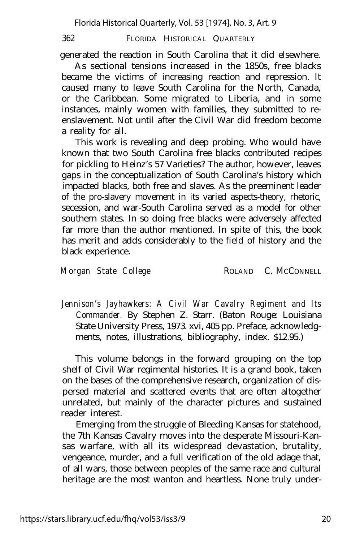generated the reaction in South Carolina that it did elsewhere.

As sectional tensions increased in the 1850s, free blacks became the victims of increasing reaction and repression. It caused many to leave South Carolina for the North, Canada, or the Caribbean. Some migrated to Liberia, and in some instances, mainly women with families, they submitted to reenslavement. Not until after the Civil War did freedom become a reality for all.

This work is revealing and deep probing. Who would have known that two South Carolina free blacks contributed recipes for pickling to Heinz's 57 Varieties? The author, however, leaves gaps in the conceptualization of South Carolina's history which impacted blacks, both free and slaves. As the preeminent leader of the pro-slavery movement in its varied aspects-theory, rhetoric, secession, and war-South Carolina served as a model for other southern states. In so doing free blacks were adversely affected far more than the author mentioned. In spite of this, the book has merit and adds considerably to the field of history and the black experience.

*Morgan State College* ROLAND C. MCCONNELL

*Jennison's Jayhawkers: A Civil War Cavalry Regiment and Its Commander.* By Stephen Z. Starr. (Baton Rouge: Louisiana State University Press, 1973. xvi, 405 pp. Preface, acknowledgments, notes, illustrations, bibliography, index. \$12.95.)

This volume belongs in the forward grouping on the top shelf of Civil War regimental histories. It is a grand book, taken on the bases of the comprehensive research, organization of dispersed material and scattered events that are often altogether unrelated, but mainly of the character pictures and sustained reader interest.

Emerging from the struggle of Bleeding Kansas for statehood, the 7th Kansas Cavalry moves into the desperate Missouri-Kansas warfare, with all its widespread devastation, brutality, vengeance, murder, and a full verification of the old adage that, of all wars, those between peoples of the same race and cultural heritage are the most wanton and heartless. None truly under-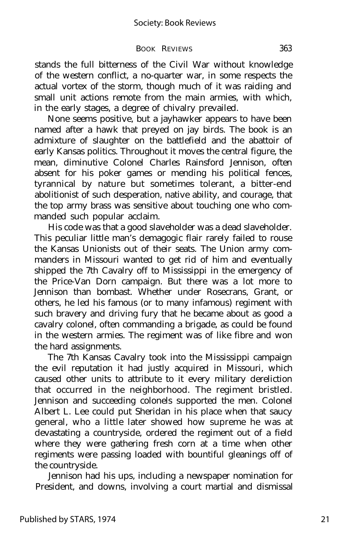stands the full bitterness of the Civil War without knowledge of the western conflict, a no-quarter war, in some respects the actual vortex of the storm, though much of it was raiding and small unit actions remote from the main armies, with which, in the early stages, a degree of chivalry prevailed.

None seems positive, but a jayhawker appears to have been named after a hawk that preyed on jay birds. The book is an admixture of slaughter on the battlefield and the abattoir of early Kansas politics. Throughout it moves the central figure, the mean, diminutive Colonel Charles Rainsford Jennison, often absent for his poker games or mending his political fences, tyrannical by nature but sometimes tolerant, a bitter-end abolitionist of such desperation, native ability, and courage, that the top army brass was sensitive about touching one who commanded such popular acclaim.

His code was that a good slaveholder was a dead slaveholder. This peculiar little man's demagogic flair rarely failed to rouse the Kansas Unionists out of their seats. The Union army commanders in Missouri wanted to get rid of him and eventually shipped the 7th Cavalry off to Mississippi in the emergency of the Price-Van Dorn campaign. But there was a lot more to Jennison than bombast. Whether under Rosecrans, Grant, or others, he led his famous (or to many infamous) regiment with such bravery and driving fury that he became about as good a cavalry colonel, often commanding a brigade, as could be found in the western armies. The regiment was of like fibre and won the hard assignments.

The 7th Kansas Cavalry took into the Mississippi campaign the evil reputation it had justly acquired in Missouri, which caused other units to attribute to it every military dereliction that occurred in the neighborhood. The regiment bristled. Jennison and succeeding colonels supported the men. Colonel Albert L. Lee could put Sheridan in his place when that saucy general, who a little later showed how supreme he was at devastating a countryside, ordered the regiment out of a field where they were gathering fresh corn at a time when other regiments were passing loaded with bountiful gleanings off of the countryside.

Jennison had his ups, including a newspaper nomination for President, and downs, involving a court martial and dismissal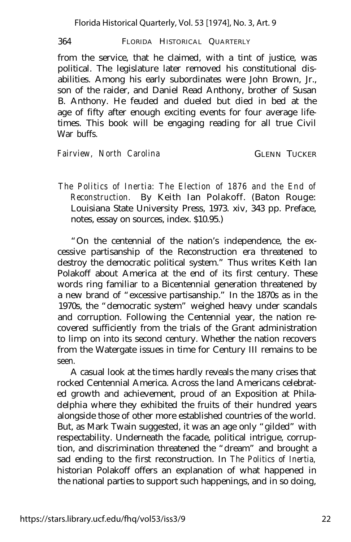Florida Historical Quarterly, Vol. 53 [1974], No. 3, Art. 9

364 FLORIDA HISTORICAL QUARTERLY

from the service, that he claimed, with a tint of justice, was political. The legislature later removed his constitutional disabilities. Among his early subordinates were John Brown, Jr., son of the raider, and Daniel Read Anthony, brother of Susan B. Anthony. He feuded and dueled but died in bed at the age of fifty after enough exciting events for four average lifetimes. This book will be engaging reading for all true Civil War buffs.

**Fairview.** North Carolina **GLENN TUCKER** 

*The Politics of Inertia: The Election of 1876 and the End of Reconstruction.* By Keith Ian Polakoff. (Baton Rouge: Louisiana State University Press, 1973. xiv, 343 pp. Preface, notes, essay on sources, index. \$10.95.)

"On the centennial of the nation's independence, the excessive partisanship of the Reconstruction era threatened to destroy the democratic political system." Thus writes Keith Ian Polakoff about America at the end of its first century. These words ring familiar to a Bicentennial generation threatened by a new brand of "excessive partisanship." In the 1870s as in the 1970s, the "democratic system" weighed heavy under scandals and corruption. Following the Centennial year, the nation recovered sufficiently from the trials of the Grant administration to limp on into its second century. Whether the nation recovers from the Watergate issues in time for Century III remains to be seen.

A casual look at the times hardly reveals the many crises that rocked Centennial America. Across the land Americans celebrated growth and achievement, proud of an Exposition at Philadelphia where they exhibited the fruits of their hundred years alongside those of other more established countries of the world. But, as Mark Twain suggested, it was an age only "gilded" with respectability. Underneath the facade, political intrigue, corruption, and discrimination threatened the "dream" and brought a sad ending to the first reconstruction. In *The Politics of Inertia,* historian Polakoff offers an explanation of what happened in the national parties to support such happenings, and in so doing,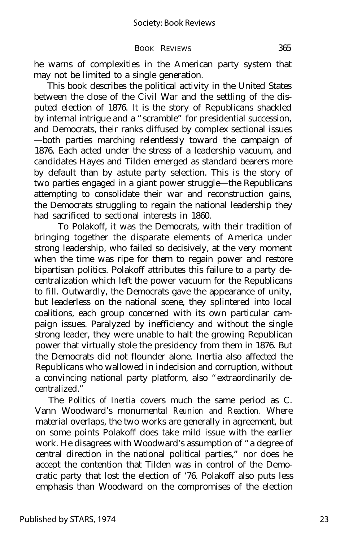he warns of complexities in the American party system that may not be limited to a single generation.

This book describes the political activity in the United States between the close of the Civil War and the settling of the disputed election of 1876. It is the story of Republicans shackled by internal intrigue and a "scramble" for presidential succession, and Democrats, their ranks diffused by complex sectional issues — both parties marching relentlessly toward the campaign of 1876. Each acted under the stress of a leadership vacuum, and candidates Hayes and Tilden emerged as standard bearers more by default than by astute party selection. This is the story of two parties engaged in a giant power struggle— the Republicans attempting to consolidate their war and reconstruction gains, the Democrats struggling to regain the national leadership they had sacrificed to sectional interests in 1860.

To Polakoff, it was the Democrats, with their tradition of bringing together the disparate elements of America under strong leadership, who failed so decisively, at the very moment when the time was ripe for them to regain power and restore bipartisan politics. Polakoff attributes this failure to a party decentralization which left the power vacuum for the Republicans to fill. Outwardly, the Democrats gave the appearance of unity, but leaderless on the national scene, they splintered into local coalitions, each group concerned with its own particular campaign issues. Paralyzed by inefficiency and without the single strong leader, they were unable to halt the growing Republican power that virtually stole the presidency from them in 1876. But the Democrats did not flounder alone. Inertia also affected the Republicans who wallowed in indecision and corruption, without a convincing national party platform, also "extraordinarily decentralized."

The *Politics of Inertia* covers much the same period as C. Vann Woodward's monumental *Reunion and Reaction.* Where material overlaps, the two works are generally in agreement, but on some points Polakoff does take mild issue with the earlier work. He disagrees with Woodward's assumption of "a degree of central direction in the national political parties," nor does he accept the contention that Tilden was in control of the Democratic party that lost the election of '76. Polakoff also puts less emphasis than Woodward on the compromises of the election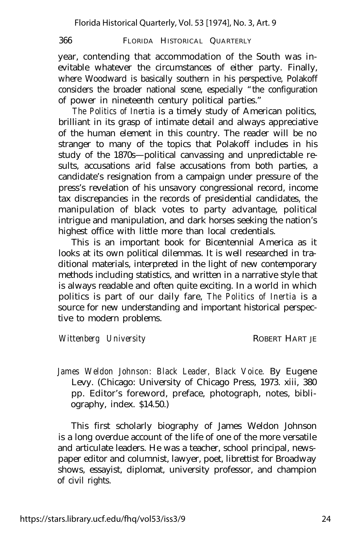year, contending that accommodation of the South was inevitable whatever the circumstances of either party. Finally, where Woodward is basically southern in his perspective, Polakoff considers the broader national scene, especially "the configuration of power in nineteenth century political parties."

*The Politics of Inertia* is a timely study of American politics, brilliant in its grasp of intimate detail and always appreciative of the human element in this country. The reader will be no stranger to many of the topics that Polakoff includes in his study of the 1870s— political canvassing and unpredictable results, accusations arid false accusations from both parties, a candidate's resignation from a campaign under pressure of the press's revelation of his unsavory congressional record, income tax discrepancies in the records of presidential candidates, the manipulation of black votes to party advantage, political intrigue and manipulation, and dark horses seeking the nation's highest office with little more than local credentials.

This is an important book for Bicentennial America as it looks at its own political dilemmas. It is well researched in traditional materials, interpreted in the light of new contemporary methods including statistics, and written in a narrative style that is always readable and often quite exciting. In a world in which politics is part of our daily fare, *The Politics of Inertia* is a source for new understanding and important historical perspective to modern problems.

*Wittenberg University* ROBERT HART JE

*James Weldon Johnson: Black Leader, Black Voice.* By Eugene Levy. (Chicago: University of Chicago Press, 1973. xiii, 380 pp. Editor's foreword, preface, photograph, notes, bibliography, index. \$14.50.)

This first scholarly biography of James Weldon Johnson is a long overdue account of the life of one of the more versatile and articulate leaders. He was a teacher, school principal, newspaper editor and columnist, lawyer, poet, librettist for Broadway shows, essayist, diplomat, university professor, and champion of civil rights.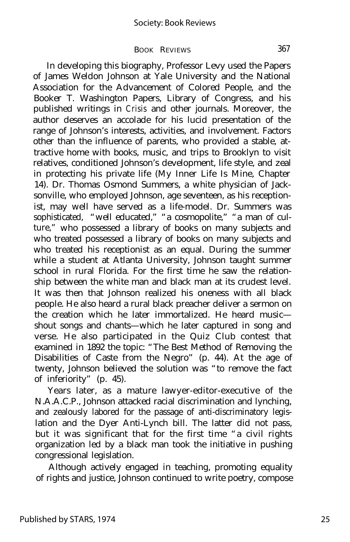#### Society: Book Reviews

#### BOOK REVIEWS 367

In developing this biography, Professor Levy used the Papers of James Weldon Johnson at Yale University and the National Association for the Advancement of Colored People, and the Booker T. Washington Papers, Library of Congress, and his published writings in *Crisis* and other journals. Moreover, the author deserves an accolade for his lucid presentation of the range of Johnson's interests, activities, and involvement. Factors other than the influence of parents, who provided a stable, attractive home with books, music, and trips to Brooklyn to visit relatives, conditioned Johnson's development, life style, and zeal in protecting his private life (My Inner Life Is Mine, Chapter 14). Dr. Thomas Osmond Summers, a white physician of Jacksonville, who employed Johnson, age seventeen, as his receptionist, may well have served as a life-model. Dr. Summers was sophisticated, "well educated," "a cosmopolite," "a man of culture," who possessed a library of books on many subjects and who treated possessed a library of books on many subjects and who treated his receptionist as an equal. During the summer while a student at Atlanta University, Johnson taught summer school in rural Florida. For the first time he saw the relationship between the white man and black man at its crudest level. It was then that Johnson realized his oneness with all black people. He also heard a rural black preacher deliver a sermon on the creation which he later immortalized. He heard music shout songs and chants— which he later captured in song and verse. He also participated in the Quiz Club contest that examined in 1892 the topic: "The Best Method of Removing the Disabilities of Caste from the Negro" (p. 44). At the age of twenty, Johnson believed the solution was "to remove the fact of inferiority" (p. 45).

Years later, as a mature lawyer-editor-executive of the N.A.A.C.P., Johnson attacked racial discrimination and lynching, and zealously labored for the passage of anti-discriminatory legislation and the Dyer Anti-Lynch bill. The latter did not pass, but it was significant that for the first time "a civil rights organization led by a black man took the initiative in pushing congressional legislation.

Although actively engaged in teaching, promoting equality of rights and justice, Johnson continued to write poetry, compose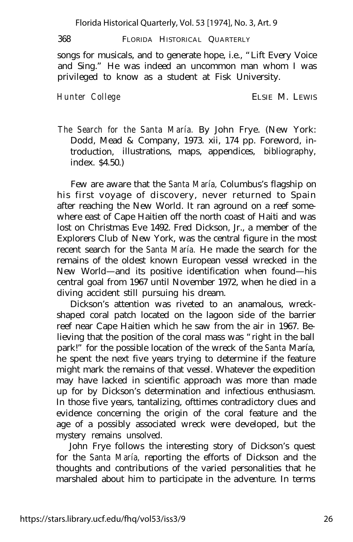Florida Historical Quarterly, Vol. 53 [1974], No. 3, Art. 9

368 FLORIDA HISTORICAL QUARTERLY

songs for musicals, and to generate hope, i.e., "Lift Every Voice and Sing." He was indeed an uncommon man whom I was privileged to know as a student at Fisk University.

*Hunter College* ELSIE M. LEWIS

*The Search for the Santa María.* By John Frye. (New York: Dodd, Mead & Company, 1973. xii, 174 pp. Foreword, introduction, illustrations, maps, appendices, bibliography, index. \$4.50.)

Few are aware that the *Santa María,* Columbus's flagship on his first voyage of discovery, never returned to Spain after reaching the New World. It ran aground on a reef somewhere east of Cape Haitien off the north coast of Haiti and was lost on Christmas Eve 1492. Fred Dickson, Jr., a member of the Explorers Club of New York, was the central figure in the most recent search for the *Santa María.* He made the search for the remains of the oldest known European vessel wrecked in the New World— and its positive identification when found— his central goal from 1967 until November 1972, when he died in a diving accident still pursuing his dream.

Dickson's attention was riveted to an anamalous, wreckshaped coral patch located on the lagoon side of the barrier reef near Cape Haitien which he saw from the air in 1967. Believing that the position of the coral mass was "right in the ball park!" for the possible location of the wreck of the *Santa* María, he spent the next five years trying to determine if the feature might mark the remains of that vessel. Whatever the expedition may have lacked in scientific approach was more than made up for by Dickson's determination and infectious enthusiasm. In those five years, tantalizing, ofttimes contradictory clues and evidence concerning the origin of the coral feature and the age of a possibly associated wreck were developed, but the mystery remains unsolved.

John Frye follows the interesting story of Dickson's quest for the *Santa María,* reporting the efforts of Dickson and the thoughts and contributions of the varied personalities that he marshaled about him to participate in the adventure. In terms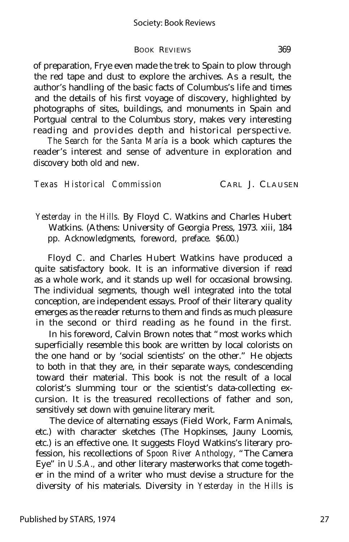of preparation, Frye even made the trek to Spain to plow through the red tape and dust to explore the archives. As a result, the author's handling of the basic facts of Columbus's life and times and the details of his first voyage of discovery, highlighted by photographs of sites, buildings, and monuments in Spain and Portgual central to the Columbus story, makes very interesting reading and provides depth and historical perspective.

*The Search for the Santa María* is a book which captures the reader's interest and sense of adventure in exploration and discovery both old and new.

*Texas Historical Commission* CARL J. CLAUSEN

*Yesterday in the Hills.* By Floyd C. Watkins and Charles Hubert Watkins. (Athens: University of Georgia Press, 1973. xiii, 184 pp. Acknowledgments, foreword, preface. \$6.00.)

Floyd C. and Charles Hubert Watkins have produced a quite satisfactory book. It is an informative diversion if read as a whole work, and it stands up well for occasional browsing. The individual segments, though well integrated into the total conception, are independent essays. Proof of their literary quality emerges as the reader returns to them and finds as much pleasure in the second or third reading as he found in the first.

In his foreword, Calvin Brown notes that "most works which superficially resemble this book are written by local colorists on the one hand or by 'social scientists' on the other." He objects to both in that they are, in their separate ways, condescending toward their material. This book is not the result of a local colorist's slumming tour or the scientist's data-collecting excursion. It is the treasured recollections of father and son, sensitively set down with genuine literary merit.

The device of alternating essays (Field Work, Farm Animals, etc.) with character sketches (The Hopkinses, Jauny Loomis, etc.) is an effective one. It suggests Floyd Watkins's literary profession, his recollections of *Spoon River Anthology,* "The Camera Eye" in *U.S.A.,* and other literary masterworks that come together in the mind of a writer who must devise a structure for the diversity of his materials. Diversity in *Yesterday in the Hills* is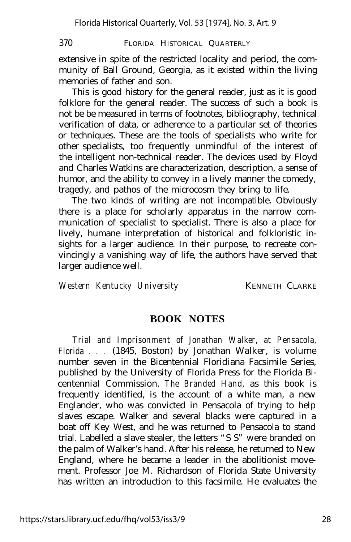extensive in spite of the restricted locality and period, the community of Ball Ground, Georgia, as it existed within the living memories of father and son.

This is good history for the general reader, just as it is good folklore for the general reader. The success of such a book is not be be measured in terms of footnotes, bibliography, technical verification of data, or adherence to a particular set of theories or techniques. These are the tools of specialists who write for other specialists, too frequently unmindful of the interest of the intelligent non-technical reader. The devices used by Floyd and Charles Watkins are characterization, description, a sense of humor, and the ability to convey in a lively manner the comedy, tragedy, and pathos of the microcosm they bring to life.

The two kinds of writing are not incompatible. Obviously there is a place for scholarly apparatus in the narrow communication of specialist to specialist. There is also a place for lively, humane interpretation of historical and folkloristic insights for a larger audience. In their purpose, to recreate convincingly a vanishing way of life, the authors have served that larger audience well.

Western Kentucky University KENNETH CLARKE

# **BOOK NOTES**

*Trial and Imprisonment of Jonathan Walker, at Pensacola, Florida . . .* (1845, Boston) by Jonathan Walker, is volume number seven in the Bicentennial Floridiana Facsimile Series, published by the University of Florida Press for the Florida Bicentennial Commission. *The Branded Hand,* as this book is frequently identified, is the account of a white man, a new Englander, who was convicted in Pensacola of trying to help slaves escape. Walker and several blacks were captured in a boat off Key West, and he was returned to Pensacola to stand trial. Labelled a slave stealer, the letters "S S" were branded on the palm of Walker's hand. After his release, he returned to New England, where he became a leader in the abolitionist movement. Professor Joe M. Richardson of Florida State University has written an introduction to this facsimile. He evaluates the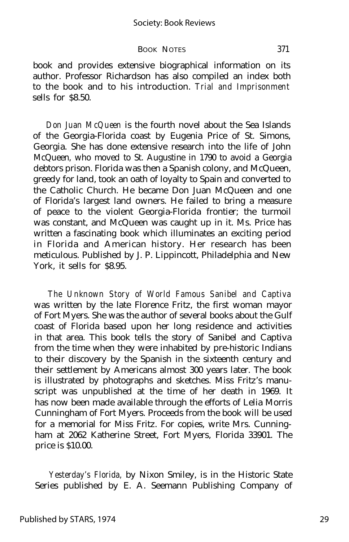#### Society: Book Reviews

## BOOK NOTES 371

book and provides extensive biographical information on its author. Professor Richardson has also compiled an index both to the book and to his introduction. *Trial and Imprisonment* sells for \$8.50.

*Don Juan McQueen* is the fourth novel about the Sea Islands of the Georgia-Florida coast by Eugenia Price of St. Simons, Georgia. She has done extensive research into the life of John McQueen, who moved to St. Augustine in 1790 to avoid a Georgia debtors prison. Florida was then a Spanish colony, and McQueen, greedy for land, took an oath of loyalty to Spain and converted to the Catholic Church. He became Don Juan McQueen and one of Florida's largest land owners. He failed to bring a measure of peace to the violent Georgia-Florida frontier; the turmoil was constant, and McQueen was caught up in it. Ms. Price has written a fascinating book which illuminates an exciting period in Florida and American history. Her research has been meticulous. Published by J. P. Lippincott, Philadelphia and New York, it sells for \$8.95.

*The Unknown Story of World Famous Sanibel and Captiva* was written by the late Florence Fritz, the first woman mayor of Fort Myers. She was the author of several books about the Gulf coast of Florida based upon her long residence and activities in that area. This book tells the story of Sanibel and Captiva from the time when they were inhabited by pre-historic Indians to their discovery by the Spanish in the sixteenth century and their settlement by Americans almost 300 years later. The book is illustrated by photographs and sketches. Miss Fritz's manuscript was unpublished at the time of her death in 1969. It has now been made available through the efforts of Lelia Morris Cunningham of Fort Myers. Proceeds from the book will be used for a memorial for Miss Fritz. For copies, write Mrs. Cunningham at 2062 Katherine Street, Fort Myers, Florida 33901. The price is \$10.00.

*Yesterday's Florida,* by Nixon Smiley, is in the Historic State Series published by E. A. Seemann Publishing Company of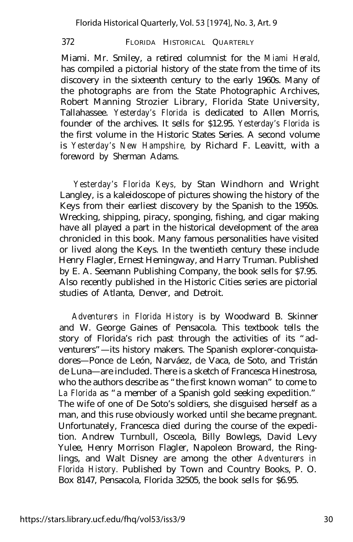Miami. Mr. Smiley, a retired columnist for the *Miami Herald,* has compiled a pictorial history of the state from the time of its discovery in the sixteenth century to the early 1960s. Many of the photographs are from the State Photographic Archives, Robert Manning Strozier Library, Florida State University, Tallahassee. *Yesterday's Florida* is dedicated to Allen Morris, founder of the archives. It sells for \$12.95. *Yesterday's Florida* is the first volume in the Historic States Series. A second volume is *Yesterday's New Hampshire,* by Richard F. Leavitt, with a foreword by Sherman Adams.

*Yesterday's Florida Keys,* by Stan Windhorn and Wright Langley, is a kaleidoscope of pictures showing the history of the Keys from their earliest discovery by the Spanish to the 1950s. Wrecking, shipping, piracy, sponging, fishing, and cigar making have all played a part in the historical development of the area chronicled in this book. Many famous personalities have visited or lived along the Keys. In the twentieth century these include Henry Flagler, Ernest Hemingway, and Harry Truman. Published by E. A. Seemann Publishing Company, the book sells for \$7.95. Also recently published in the Historic Cities series are pictorial studies of Atlanta, Denver, and Detroit.

*Adventurers in Florida History* is by Woodward B. Skinner and W. George Gaines of Pensacola. This textbook tells the story of Florida's rich past through the activities of its "adventurers"— its history makers. The Spanish explorer-conquistadores— Ponce de León, Narváez, de Vaca, de Soto, and Tristán de Luna— are included. There is a sketch of Francesca Hinestrosa, who the authors describe as "the first known woman" to come to *La Florida* as "a member of a Spanish gold seeking expedition." The wife of one of De Soto's soldiers, she disguised herself as a man, and this ruse obviously worked until she became pregnant. Unfortunately, Francesca died during the course of the expedition. Andrew Turnbull, Osceola, Billy Bowlegs, David Levy Yulee, Henry Morrison Flagler, Napoleon Broward, the Ringlings, and Walt Disney are among the other *Adventurers in Florida History.* Published by Town and Country Books, P. O. Box 8147, Pensacola, Florida 32505, the book sells for \$6.95.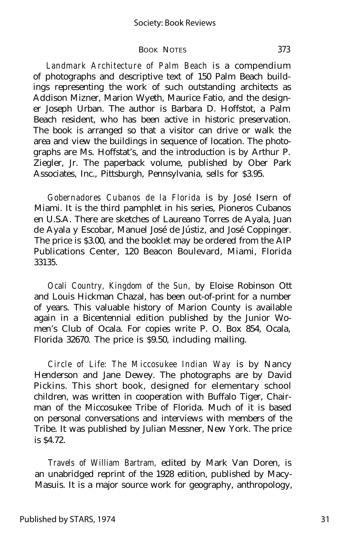## BOOK NOTES 373

*Landmark Architecture of Palm Beach* is a compendium of photographs and descriptive text of 150 Palm Beach buildings representing the work of such outstanding architects as Addison Mizner, Marion Wyeth, Maurice Fatio, and the designer Joseph Urban. The author is Barbara D. Hoffstot, a Palm Beach resident, who has been active in historic preservation. The book is arranged so that a visitor can drive or walk the area and view the buildings in sequence of location. The photographs are Ms. Hoffstat's, and the introduction is by Arthur P. Ziegler, Jr. The paperback volume, published by Ober Park Associates, Inc., Pittsburgh, Pennsylvania, sells for \$3.95.

*Gobernadores Cubanos de la Florida* is by José Isern of Miami. It is the third pamphlet in his series, Pioneros Cubanos en U.S.A. There are sketches of Laureano Torres de Ayala, Juan de Ayala y Escobar, Manuel José de Jústiz, and José Coppinger. The price is \$3.00, and the booklet may be ordered from the AIP Publications Center, 120 Beacon Boulevard, Miami, Florida 33135.

*Ocali Country, Kingdom of the Sun,* by Eloise Robinson Ott and Louis Hickman Chazal, has been out-of-print for a number of years. This valuable history of Marion County is available again in a Bicentennial edition published by the Junior Women's Club of Ocala. For copies write P. O. Box 854, Ocala, Florida 32670. The price is \$9.50, including mailing.

*Circle of Life: The Miccosukee Indian Way* is by Nancy Henderson and Jane Dewey. The photographs are by David Pickins. This short book, designed for elementary school children, was written in cooperation with Buffalo Tiger, Chairman of the Miccosukee Tribe of Florida. Much of it is based on personal conversations and interviews with members of the Tribe. It was published by Julian Messner, New York. The price is \$4.72.

*Travels of William Bartram,* edited by Mark Van Doren, is an unabridged reprint of the 1928 edition, published by Macy-Masuis. It is a major source work for geography, anthropology,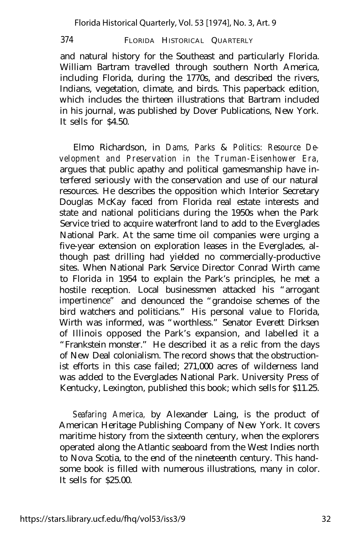and natural history for the Southeast and particularly Florida. William Bartram travelled through southern North America, including Florida, during the 1770s, and described the rivers, Indians, vegetation, climate, and birds. This paperback edition, which includes the thirteen illustrations that Bartram included in his journal, was published by Dover Publications, New York. It sells for \$4.50.

Elmo Richardson, in *Dams, Parks* & *Politics: Resource Development and Preservation in the Truman-Eisenhower Era,* argues that public apathy and political gamesmanship have interfered seriously with the conservation and use of our natural resources. He describes the opposition which Interior Secretary Douglas McKay faced from Florida real estate interests and state and national politicians during the 1950s when the Park Service tried to acquire waterfront land to add to the Everglades National Park. At the same time oil companies were urging a five-year extension on exploration leases in the Everglades, although past drilling had yielded no commercially-productive sites. When National Park Service Director Conrad Wirth came to Florida in 1954 to explain the Park's principles, he met a hostile reception. Local businessmen attacked his "arrogant impertinence" and denounced the "grandoise schemes of the bird watchers and politicians." His personal value to Florida, Wirth was informed, was "worthless." Senator Everett Dirksen of Illinois opposed the Park's expansion, and labelled it a "Frankstein monster." He described it as a relic from the days of New Deal colonialism. The record shows that the obstructionist efforts in this case failed; 271,000 acres of wilderness land was added to the Everglades National Park. University Press of Kentucky, Lexington, published this book; which sells for \$11.25.

*Seafaring America,* by Alexander Laing, is the product of American Heritage Publishing Company of New York. It covers maritime history from the sixteenth century, when the explorers operated along the Atlantic seaboard from the West Indies north to Nova Scotia, to the end of the nineteenth century. This handsome book is filled with numerous illustrations, many in color. It sells for \$25.00.